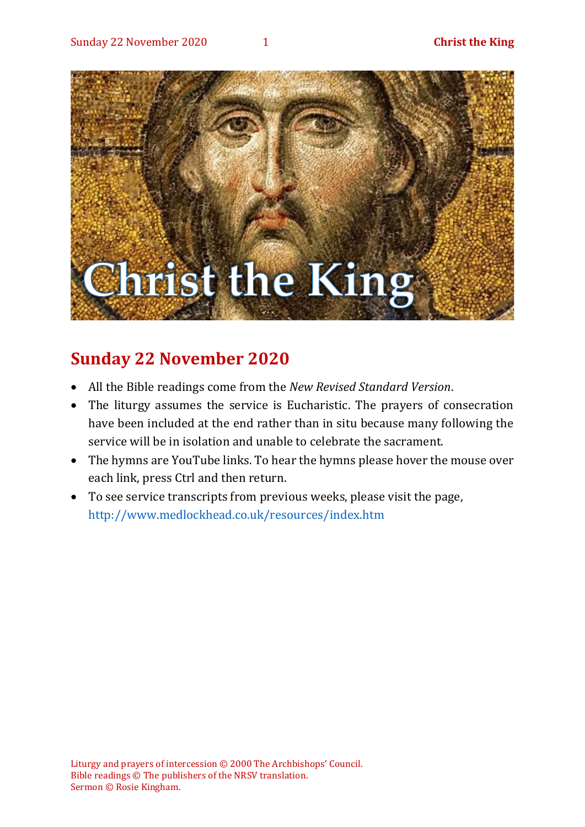

# **Sunday 22 November 2020**

- All the Bible readings come from the *New Revised Standard Version*.
- The liturgy assumes the service is Eucharistic. The prayers of consecration have been included at the end rather than in situ because many following the service will be in isolation and unable to celebrate the sacrament.
- The hymns are YouTube links. To hear the hymns please hover the mouse over each link, press Ctrl and then return.
- To see service transcripts from previous weeks, please visit the page, <http://www.medlockhead.co.uk/resources/index.htm>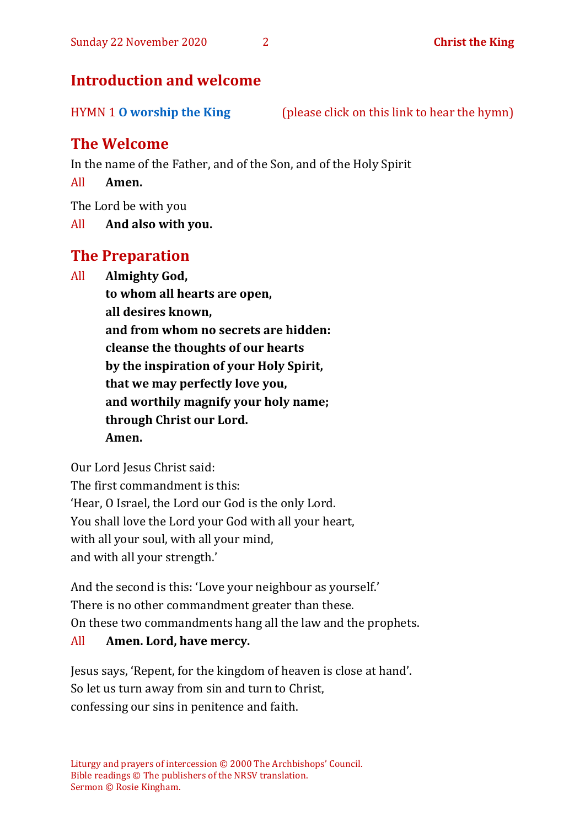# **Introduction and welcome**

HYMN 1 **[O worship the King](https://www.youtube.com/watch?v=Wy1ahfW14M0)** (please click on this link to hear the hymn)

# **The Welcome**

In the name of the Father, and of the Son, and of the Holy Spirit

All **Amen.**

The Lord be with you

All **And also with you.**

# **The Preparation**

All **Almighty God,**

**to whom all hearts are open, all desires known, and from whom no secrets are hidden: cleanse the thoughts of our hearts by the inspiration of your Holy Spirit, that we may perfectly love you, and worthily magnify your holy name; through Christ our Lord. Amen.**

Our Lord Jesus Christ said:

The first commandment is this: 'Hear, O Israel, the Lord our God is the only Lord. You shall love the Lord your God with all your heart, with all your soul, with all your mind, and with all your strength.'

And the second is this: 'Love your neighbour as yourself.' There is no other commandment greater than these. On these two commandments hang all the law and the prophets.

### All **Amen. Lord, have mercy.**

Jesus says, 'Repent, for the kingdom of heaven is close at hand'. So let us turn away from sin and turn to Christ, confessing our sins in penitence and faith.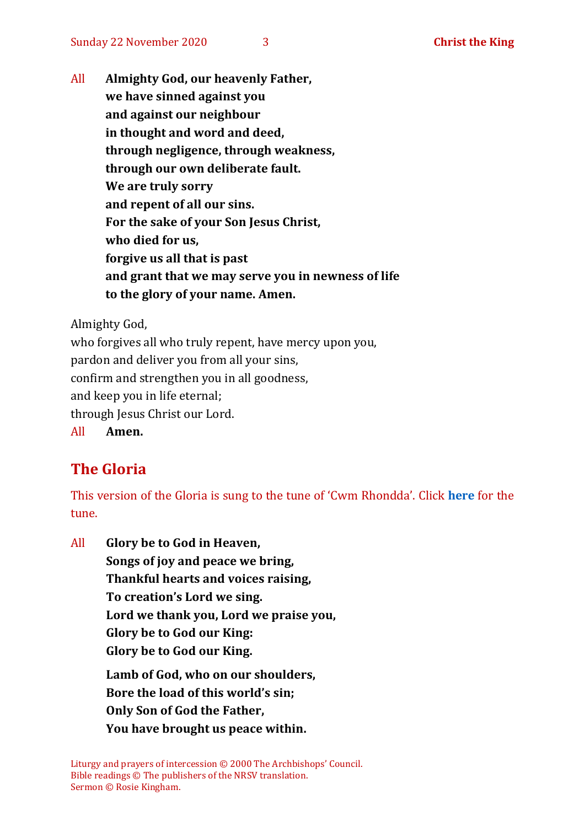All **Almighty God, our heavenly Father, we have sinned against you and against our neighbour in thought and word and deed, through negligence, through weakness, through our own deliberate fault. We are truly sorry and repent of all our sins. For the sake of your Son Jesus Christ, who died for us, forgive us all that is past and grant that we may serve you in newness of life to the glory of your name. Amen.**

Almighty God,

who forgives all who truly repent, have mercy upon you, pardon and deliver you from all your sins, confirm and strengthen you in all goodness, and keep you in life eternal; through Jesus Christ our Lord. All **Amen.**

# **The Gloria**

This version of the Gloria is sung to the tune of 'Cwm Rhondda'. Click **[here](about:blank)** for the tune.

All **Glory be to God in Heaven, Songs of joy and peace we bring, Thankful hearts and voices raising, To creation's Lord we sing. Lord we thank you, Lord we praise you, Glory be to God our King: Glory be to God our King. Lamb of God, who on our shoulders, Bore the load of this world's sin; Only Son of God the Father, You have brought us peace within.**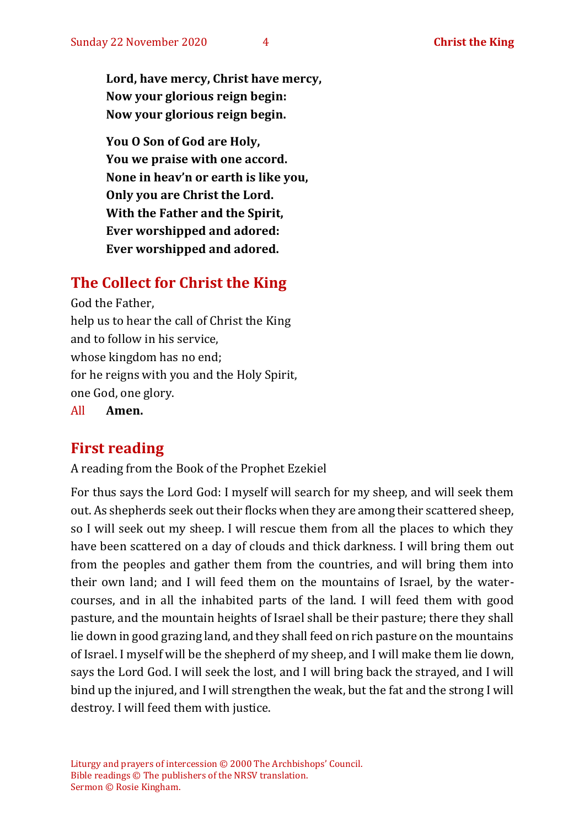**Lord, have mercy, Christ have mercy, Now your glorious reign begin: Now your glorious reign begin.**

**You O Son of God are Holy, You we praise with one accord. None in heav'n or earth is like you, Only you are Christ the Lord. With the Father and the Spirit, Ever worshipped and adored: Ever worshipped and adored.**

# **The Collect for Christ the King**

God the Father, help us to hear the call of Christ the King and to follow in his service, whose kingdom has no end; for he reigns with you and the Holy Spirit, one God, one glory. All **Amen.**

# **First reading**

A reading from the Book of the Prophet Ezekiel

For thus says the Lord God: I myself will search for my sheep, and will seek them out. As shepherds seek out their flocks when they are among their scattered sheep, so I will seek out my sheep. I will rescue them from all the places to which they have been scattered on a day of clouds and thick darkness. I will bring them out from the peoples and gather them from the countries, and will bring them into their own land; and I will feed them on the mountains of Israel, by the watercourses, and in all the inhabited parts of the land. I will feed them with good pasture, and the mountain heights of Israel shall be their pasture; there they shall lie down in good grazing land, and they shall feed on rich pasture on the mountains of Israel. I myself will be the shepherd of my sheep, and I will make them lie down, says the Lord God. I will seek the lost, and I will bring back the strayed, and I will bind up the injured, and I will strengthen the weak, but the fat and the strong I will destroy. I will feed them with justice.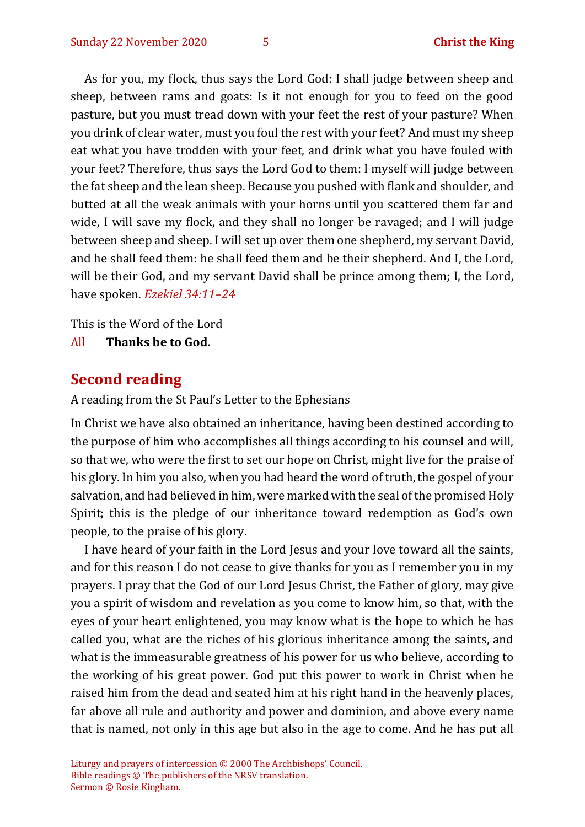As for you, my flock, thus says the Lord God: I shall judge between sheep and sheep, between rams and goats: Is it not enough for you to feed on the good pasture, but you must tread down with your feet the rest of your pasture? When you drink of clear water, must you foul the rest with your feet? And must my sheep eat what you have trodden with your feet, and drink what you have fouled with your feet? Therefore, thus says the Lord God to them: I myself will judge between the fat sheep and the lean sheep. Because you pushed with flank and shoulder, and butted at all the weak animals with your horns until you scattered them far and wide, I will save my flock, and they shall no longer be ravaged; and I will judge between sheep and sheep. I will set up over them one shepherd, my servant David, and he shall feed them: he shall feed them and be their shepherd. And I, the Lord, will be their God, and my servant David shall be prince among them; I, the Lord, have spoken. *Ezekiel 34:11–24*

This is the Word of the Lord All **Thanks be to God.**

# **Second reading**

A reading from the St Paul's Letter to the Ephesians

In Christ we have also obtained an inheritance, having been destined according to the purpose of him who accomplishes all things according to his counsel and will, so that we, who were the first to set our hope on Christ, might live for the praise of his glory. In him you also, when you had heard the word of truth, the gospel of your salvation, and had believed in him, were marked with the seal of the promised Holy Spirit; this is the pledge of our inheritance toward redemption as God's own people, to the praise of his glory.

I have heard of your faith in the Lord Jesus and your love toward all the saints, and for this reason I do not cease to give thanks for you as I remember you in my prayers. I pray that the God of our Lord Jesus Christ, the Father of glory, may give you a spirit of wisdom and revelation as you come to know him, so that, with the eyes of your heart enlightened, you may know what is the hope to which he has called you, what are the riches of his glorious inheritance among the saints, and what is the immeasurable greatness of his power for us who believe, according to the working of his great power. God put this power to work in Christ when he raised him from the dead and seated him at his right hand in the heavenly places, far above all rule and authority and power and dominion, and above every name that is named, not only in this age but also in the age to come. And he has put all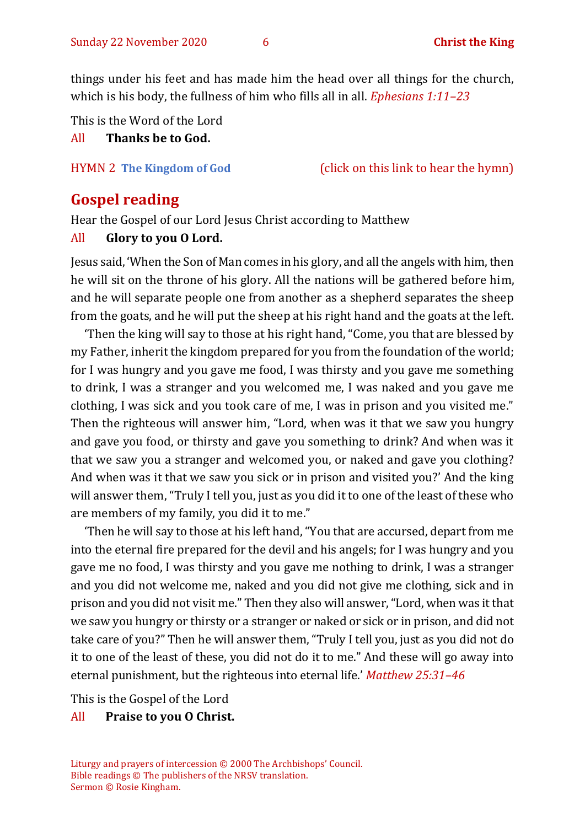things under his feet and has made him the head over all things for the church, which is his body, the fullness of him who fills all in all. *Ephesians 1:11–23*

This is the Word of the Lord

All **Thanks be to God.**

HYMN 2 **[The Kingdom of God](https://www.youtube.com/watch?v=WL1_IhVTJmk)** (click on this link to hear the hymn)

# **Gospel reading**

Hear the Gospel of our Lord Jesus Christ according to Matthew

### All **Glory to you O Lord.**

Jesus said, 'When the Son of Man comes in his glory, and all the angels with him, then he will sit on the throne of his glory. All the nations will be gathered before him, and he will separate people one from another as a shepherd separates the sheep from the goats, and he will put the sheep at his right hand and the goats at the left.

'Then the king will say to those at his right hand, "Come, you that are blessed by my Father, inherit the kingdom prepared for you from the foundation of the world; for I was hungry and you gave me food, I was thirsty and you gave me something to drink, I was a stranger and you welcomed me, I was naked and you gave me clothing, I was sick and you took care of me, I was in prison and you visited me." Then the righteous will answer him, "Lord, when was it that we saw you hungry and gave you food, or thirsty and gave you something to drink? And when was it that we saw you a stranger and welcomed you, or naked and gave you clothing? And when was it that we saw you sick or in prison and visited you?' And the king will answer them, "Truly I tell you, just as you did it to one of the least of these who are members of my family, you did it to me."

'Then he will say to those at his left hand, "You that are accursed, depart from me into the eternal fire prepared for the devil and his angels; for I was hungry and you gave me no food, I was thirsty and you gave me nothing to drink, I was a stranger and you did not welcome me, naked and you did not give me clothing, sick and in prison and you did not visit me." Then they also will answer, "Lord, when was it that we saw you hungry or thirsty or a stranger or naked or sick or in prison, and did not take care of you?" Then he will answer them, "Truly I tell you, just as you did not do it to one of the least of these, you did not do it to me." And these will go away into eternal punishment, but the righteous into eternal life.' *Matthew 25:31–46*

This is the Gospel of the Lord

### All **Praise to you O Christ.**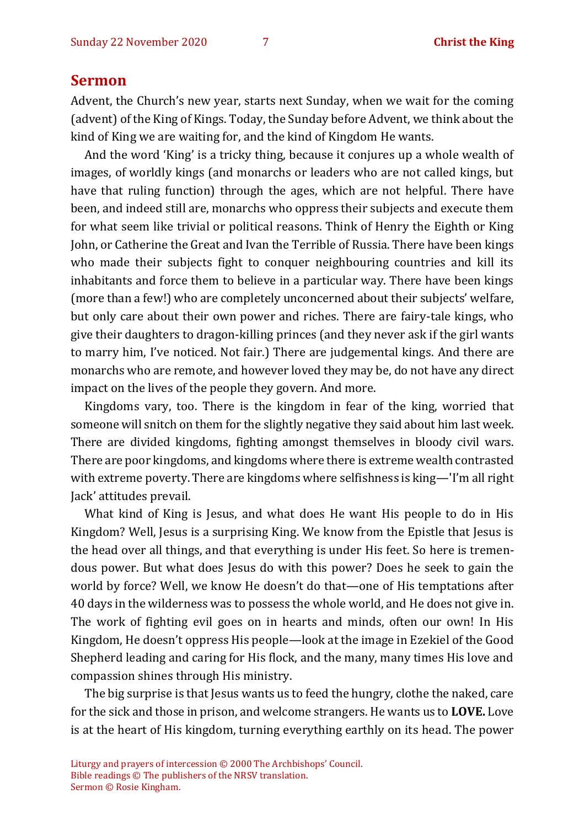### **Sermon**

Advent, the Church's new year, starts next Sunday, when we wait for the coming (advent) of the King of Kings. Today, the Sunday before Advent, we think about the kind of King we are waiting for, and the kind of Kingdom He wants.

And the word 'King' is a tricky thing, because it conjures up a whole wealth of images, of worldly kings (and monarchs or leaders who are not called kings, but have that ruling function) through the ages, which are not helpful. There have been, and indeed still are, monarchs who oppress their subjects and execute them for what seem like trivial or political reasons. Think of Henry the Eighth or King John, or Catherine the Great and Ivan the Terrible of Russia. There have been kings who made their subjects fight to conquer neighbouring countries and kill its inhabitants and force them to believe in a particular way. There have been kings (more than a few!) who are completely unconcerned about their subjects' welfare, but only care about their own power and riches. There are fairy-tale kings, who give their daughters to dragon-killing princes (and they never ask if the girl wants to marry him, I've noticed. Not fair.) There are judgemental kings. And there are monarchs who are remote, and however loved they may be, do not have any direct impact on the lives of the people they govern. And more.

Kingdoms vary, too. There is the kingdom in fear of the king, worried that someone will snitch on them for the slightly negative they said about him last week. There are divided kingdoms, fighting amongst themselves in bloody civil wars. There are poor kingdoms, and kingdoms where there is extreme wealth contrasted with extreme poverty. There are kingdoms where selfishness is king—'I'm all right Jack' attitudes prevail.

What kind of King is Jesus, and what does He want His people to do in His Kingdom? Well, Jesus is a surprising King. We know from the Epistle that Jesus is the head over all things, and that everything is under His feet. So here is tremendous power. But what does Jesus do with this power? Does he seek to gain the world by force? Well, we know He doesn't do that—one of His temptations after 40 days in the wilderness was to possess the whole world, and He does not give in. The work of fighting evil goes on in hearts and minds, often our own! In His Kingdom, He doesn't oppress His people—look at the image in Ezekiel of the Good Shepherd leading and caring for His flock, and the many, many times His love and compassion shines through His ministry.

The big surprise is that Jesus wants us to feed the hungry, clothe the naked, care for the sick and those in prison, and welcome strangers. He wants us to **LOVE.** Love is at the heart of His kingdom, turning everything earthly on its head. The power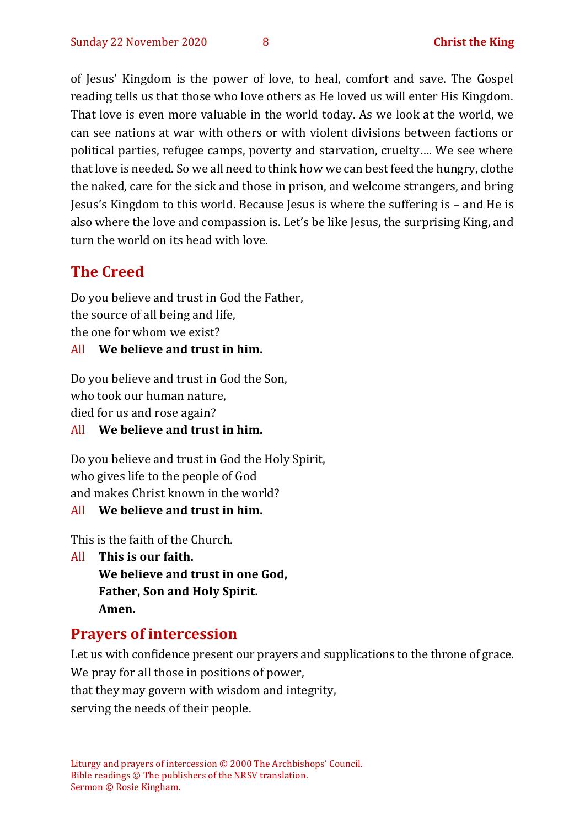of Jesus' Kingdom is the power of love, to heal, comfort and save. The Gospel reading tells us that those who love others as He loved us will enter His Kingdom. That love is even more valuable in the world today. As we look at the world, we can see nations at war with others or with violent divisions between factions or political parties, refugee camps, poverty and starvation, cruelty…. We see where that love is needed. So we all need to think how we can best feed the hungry, clothe the naked, care for the sick and those in prison, and welcome strangers, and bring Jesus's Kingdom to this world. Because Jesus is where the suffering is – and He is also where the love and compassion is. Let's be like Jesus, the surprising King, and turn the world on its head with love.

# **The Creed**

Do you believe and trust in God the Father, the source of all being and life, the one for whom we exist? All **We believe and trust in him.**

Do you believe and trust in God the Son, who took our human nature, died for us and rose again?

All **We believe and trust in him.**

Do you believe and trust in God the Holy Spirit, who gives life to the people of God and makes Christ known in the world?

### All **We believe and trust in him.**

This is the faith of the Church.

All **This is our faith. We believe and trust in one God, Father, Son and Holy Spirit. Amen.**

# **Prayers of intercession**

Let us with confidence present our prayers and supplications to the throne of grace.

We pray for all those in positions of power,

that they may govern with wisdom and integrity,

serving the needs of their people.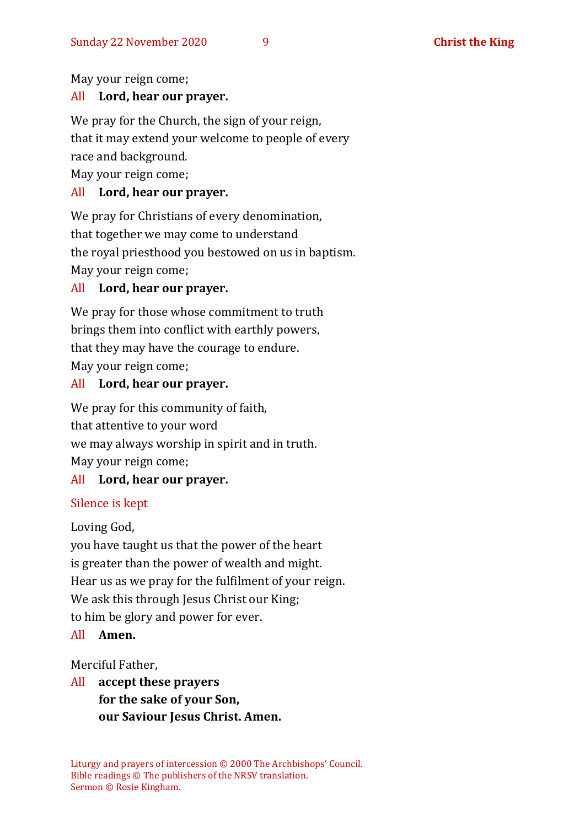May your reign come;

### All **Lord, hear our prayer.**

We pray for the Church, the sign of your reign, that it may extend your welcome to people of every race and background.

May your reign come;

### All **Lord, hear our prayer.**

We pray for Christians of every denomination, that together we may come to understand the royal priesthood you bestowed on us in baptism. May your reign come;

### All **Lord, hear our prayer.**

We pray for those whose commitment to truth brings them into conflict with earthly powers, that they may have the courage to endure. May your reign come;

### All **Lord, hear our prayer.**

We pray for this community of faith. that attentive to your word we may always worship in spirit and in truth. May your reign come;

### All **Lord, hear our prayer.**

### Silence is kept

Loving God,

you have taught us that the power of the heart is greater than the power of wealth and might. Hear us as we pray for the fulfilment of your reign. We ask this through Jesus Christ our King; to him be glory and power for ever.

### All **Amen.**

Merciful Father,

All **accept these prayers for the sake of your Son, our Saviour Jesus Christ. Amen.**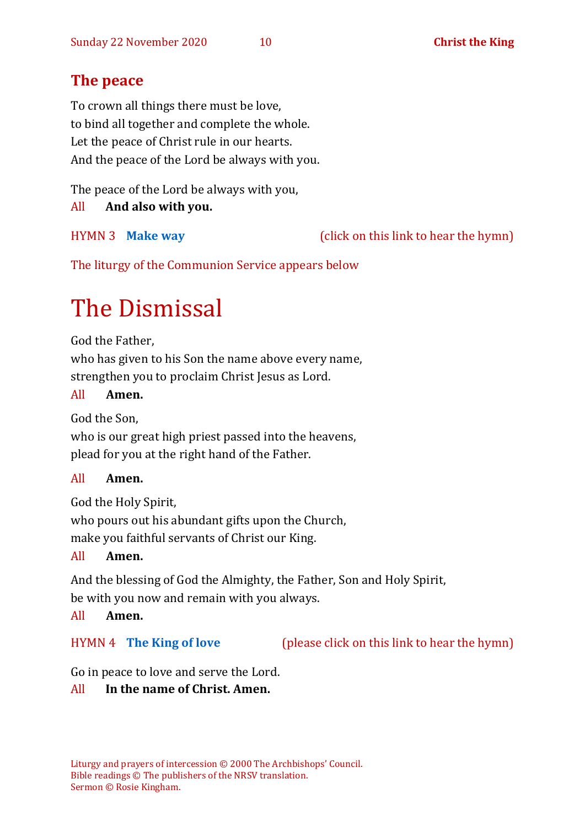# **The peace**

To crown all things there must be love, to bind all together and complete the whole. Let the peace of Christ rule in our hearts. And the peace of the Lord be always with you.

The peace of the Lord be always with you,

All **And also with you.**

HYMN 3 **[Make way](https://www.youtube.com/watch?v=78iCdVc5LVM)** (click on this link to hear the hymn)

The liturgy of the Communion Service appears below

# The Dismissal

God the Father,

who has given to his Son the name above every name, strengthen you to proclaim Christ Jesus as Lord.

### All **Amen.**

God the Son,

who is our great high priest passed into the heavens, plead for you at the right hand of the Father.

### All **Amen.**

God the Holy Spirit, who pours out his abundant gifts upon the Church, make you faithful servants of Christ our King.

### All **Amen.**

And the blessing of God the Almighty, the Father, Son and Holy Spirit, be with you now and remain with you always.

### All **Amen.**

HYMN 4 **[The King of love](https://www.youtube.com/watch?v=b3GFVW6m9Qo)** (please click on this link to hear the hymn)

Go in peace to love and serve the Lord.

### All **In the name of Christ. Amen.**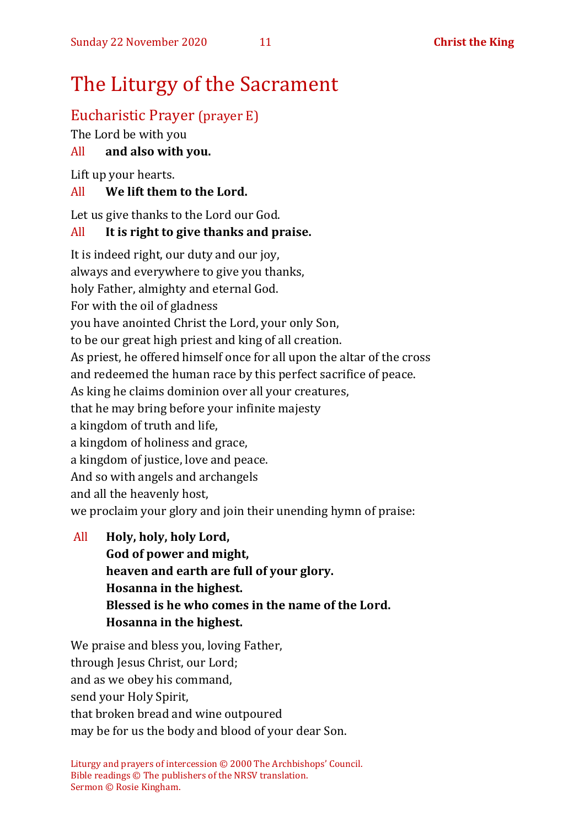# The Liturgy of the Sacrament

# Eucharistic Prayer (prayer E)

The Lord be with you

# All **and also with you.**

Lift up your hearts.

# All **We lift them to the Lord.**

Let us give thanks to the Lord our God.

# All **It is right to give thanks and praise.**

It is indeed right, our duty and our joy,

always and everywhere to give you thanks,

holy Father, almighty and eternal God.

For with the oil of gladness

you have anointed Christ the Lord, your only Son,

to be our great high priest and king of all creation.

As priest, he offered himself once for all upon the altar of the cross

and redeemed the human race by this perfect sacrifice of peace.

As king he claims dominion over all your creatures,

that he may bring before your infinite majesty

a kingdom of truth and life,

a kingdom of holiness and grace,

a kingdom of justice, love and peace.

And so with angels and archangels

and all the heavenly host,

we proclaim your glory and join their unending hymn of praise:

All **Holy, holy, holy Lord, God of power and might, heaven and earth are full of your glory. Hosanna in the highest. Blessed is he who comes in the name of the Lord. Hosanna in the highest.**

We praise and bless you, loving Father, through Jesus Christ, our Lord; and as we obey his command, send your Holy Spirit, that broken bread and wine outpoured may be for us the body and blood of your dear Son.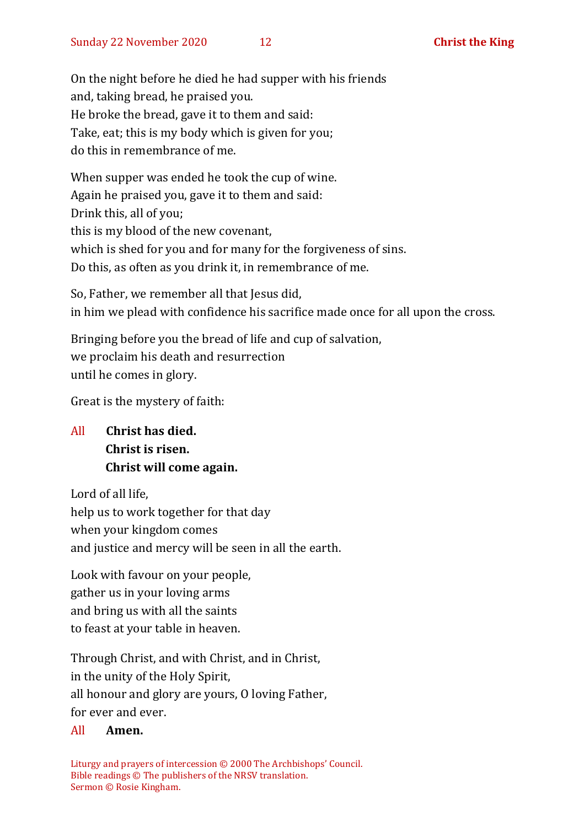On the night before he died he had supper with his friends and, taking bread, he praised you. He broke the bread, gave it to them and said: Take, eat; this is my body which is given for you; do this in remembrance of me.

When supper was ended he took the cup of wine. Again he praised you, gave it to them and said: Drink this, all of you; this is my blood of the new covenant, which is shed for you and for many for the forgiveness of sins. Do this, as often as you drink it, in remembrance of me.

So, Father, we remember all that Jesus did, in him we plead with confidence his sacrifice made once for all upon the cross.

Bringing before you the bread of life and cup of salvation, we proclaim his death and resurrection until he comes in glory.

Great is the mystery of faith:

## All **Christ has died. Christ is risen. Christ will come again.**

Lord of all life, help us to work together for that day when your kingdom comes and justice and mercy will be seen in all the earth.

Look with favour on your people, gather us in your loving arms and bring us with all the saints to feast at your table in heaven.

Through Christ, and with Christ, and in Christ, in the unity of the Holy Spirit, all honour and glory are yours, O loving Father, for ever and ever.

### All **Amen.**

Liturgy and prayers of intercession © 2000 The Archbishops' Council. Bible readings © The publishers of the NRSV translation. Sermon © Rosie Kingham.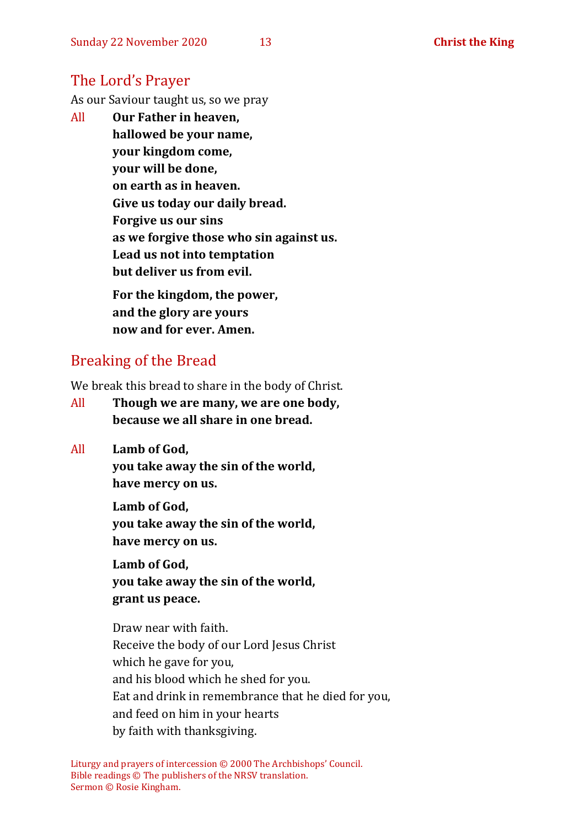# The Lord's Prayer

As our Saviour taught us, so we pray

All **Our Father in heaven, hallowed be your name, your kingdom come, your will be done, on earth as in heaven. Give us today our daily bread. Forgive us our sins as we forgive those who sin against us. Lead us not into temptation but deliver us from evil. For the kingdom, the power,** 

**and the glory are yours now and for ever. Amen.**

# Breaking of the Bread

We break this bread to share in the body of Christ.

- All **Though we are many, we are one body, because we all share in one bread.**
- All **Lamb of God,**

**you take away the sin of the world, have mercy on us.**

**Lamb of God, you take away the sin of the world, have mercy on us.**

**Lamb of God, you take away the sin of the world, grant us peace.**

Draw near with faith. Receive the body of our Lord Jesus Christ which he gave for you, and his blood which he shed for you. Eat and drink in remembrance that he died for you, and feed on him in your hearts by faith with thanksgiving.